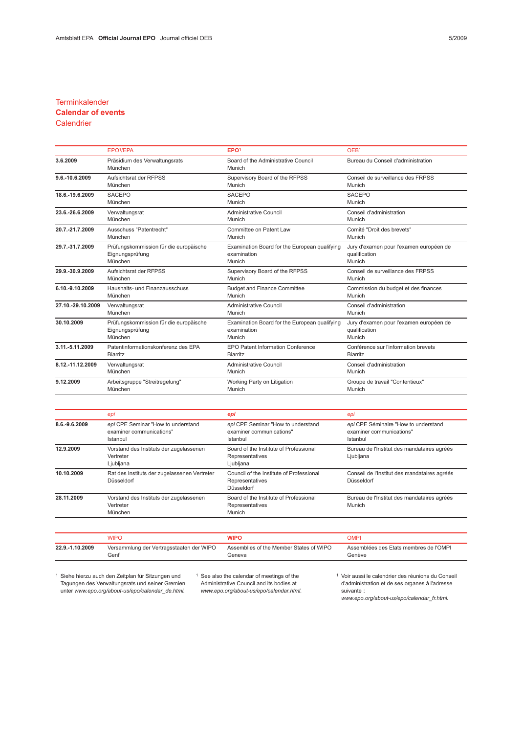### **Terminkalender**

# Calendar of events

## **Calendrier**

|                   | EPO <sup>1</sup> /EPA                    | EPO <sup>1</sup>                              | OEB <sup>1</sup>                        |  |
|-------------------|------------------------------------------|-----------------------------------------------|-----------------------------------------|--|
| 3.6.2009          | Präsidium des Verwaltungsrats<br>München | Board of the Administrative Council<br>Munich | Bureau du Conseil d'administration      |  |
| 9.6.-10.6.2009    | Aufsichtsrat der RFPSS                   | Supervisory Board of the RFPSS                | Conseil de surveillance des FRPSS       |  |
|                   | München                                  | Munich                                        | Munich                                  |  |
| 18.6.-19.6.2009   | <b>SACEPO</b>                            | <b>SACEPO</b>                                 | <b>SACEPO</b>                           |  |
|                   | München                                  | Munich                                        | Munich                                  |  |
| 23.6.-26.6.2009   | Verwaltungsrat                           | <b>Administrative Council</b>                 | Conseil d'administration                |  |
|                   | München                                  | Munich                                        | Munich                                  |  |
| 20.7.-21.7.2009   | Ausschuss "Patentrecht"                  | Committee on Patent Law                       | Comité "Droit des brevets"              |  |
|                   | München                                  | Munich                                        | Munich                                  |  |
| 29.7.-31.7.2009   | Prüfungskommission für die europäische   | Examination Board for the European qualifying | Jury d'examen pour l'examen européen de |  |
|                   | Eignungsprüfung                          | examination                                   | qualification                           |  |
|                   | München                                  | Munich                                        | Munich                                  |  |
| 29.9.-30.9.2009   | Aufsichtsrat der RFPSS                   | Supervisory Board of the RFPSS                | Conseil de surveillance des FRPSS       |  |
|                   | München                                  | Munich                                        | Munich                                  |  |
| 6.10.-9.10.2009   | Haushalts- und Finanzausschuss           | <b>Budget and Finance Committee</b>           | Commission du budget et des finances    |  |
|                   | München                                  | Munich                                        | Munich                                  |  |
| 27.10.-29.10.2009 | Verwaltungsrat                           | Administrative Council                        | Conseil d'administration                |  |
|                   | München                                  | Munich                                        | Munich                                  |  |
| 30.10.2009        | Prüfungskommission für die europäische   | Examination Board for the European qualifying | Jury d'examen pour l'examen européen de |  |
|                   | Eignungsprüfung                          | examination                                   | qualification                           |  |
|                   | München                                  | Munich                                        | Munich                                  |  |
| 3.11.-5.11.2009   | Patentinformationskonferenz des EPA      | EPO Patent Information Conference             | Conférence sur l'information brevets    |  |
|                   | <b>Biarritz</b>                          | <b>Biarritz</b>                               | <b>Biarritz</b>                         |  |
| 8.12.-11.12.2009  | Verwaltungsrat                           | <b>Administrative Council</b>                 | Conseil d'administration                |  |
|                   | München                                  | Munich                                        | Munich                                  |  |
| 9.12.2009         | Arbeitsgruppe "Streitregelung"           | Working Party on Litigation                   | Groupe de travail "Contentieux"         |  |
|                   | München                                  | Munich                                        | Munich                                  |  |

|               | epi                                                                        | epi                                                                        | epi                                                                          |  |
|---------------|----------------------------------------------------------------------------|----------------------------------------------------------------------------|------------------------------------------------------------------------------|--|
| 8.6.-9.6.2009 | epi CPE Seminar "How to understand<br>examiner communications"<br>Istanbul | epi CPE Seminar "How to understand<br>examiner communications"<br>Istanbul | epi CPE Séminaire "How to understand<br>examiner communications"<br>Istanbul |  |
| 12.9.2009     | Vorstand des Instituts der zugelassenen<br>Vertreter<br>Ljubljana          | Board of the Institute of Professional<br>Representatives<br>Ljubljana     | Bureau de l'Institut des mandataires agréés<br>Ljubljana                     |  |
| 10.10.2009    | Rat des Instituts der zugelassenen Vertreter<br>Düsseldorf                 | Council of the Institute of Professional<br>Representatives<br>Düsseldorf  | Conseil de l'Institut des mandataires agréés<br>Düsseldorf                   |  |
| 28.11.2009    | Vorstand des Instituts der zugelassenen<br>Vertreter<br>München            | Board of the Institute of Professional<br>Representatives<br>Munich        | Bureau de l'Institut des mandataires agréés<br>Munich                        |  |

|                 | <b>WIPO</b>                              | <b>WIPO</b>                             | <b>OMPI</b>                            |
|-----------------|------------------------------------------|-----------------------------------------|----------------------------------------|
| 22.9.-1.10.2009 | Versammlung der Vertragsstaaten der WIPO | Assemblies of the Member States of WIPO | Assemblées des Etats membres de l'OMPI |
|                 | Genf                                     | Geneva                                  | Genève                                 |

<sup>1</sup> Siehe hierzu auch den Zeitplan für Sitzungen und Tagungen des Verwaltungsrats und seiner Gremien unter www.epo.org/about-us/epo/calendar\_de.html.

<sup>1</sup> See also the calendar of meetings of the Administrative Council and its bodies at www.epo.org/about-us/epo/calendar.html. <sup>1</sup> Voir aussi le calendrier des réunions du Conseil d'administration et de ses organes à l'adresse suivante : www.epo.org/about-us/epo/calendar\_fr.html.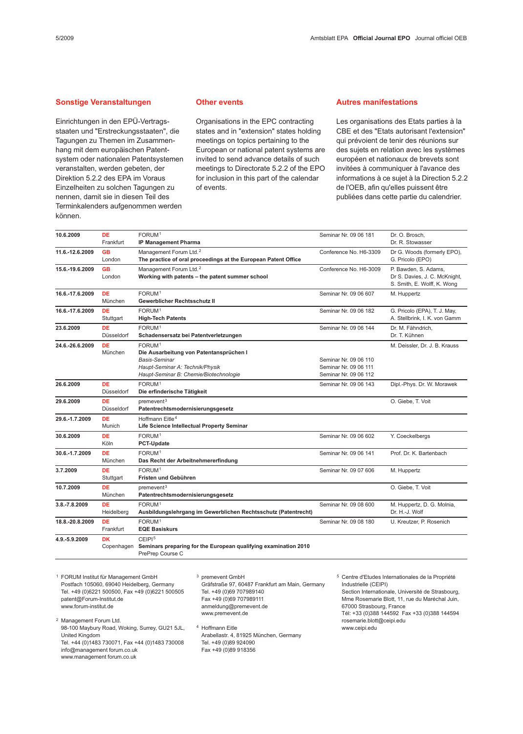#### Sonstige Veranstaltungen

Einrichtungen in den EPÜ-Vertragsstaaten und "Erstreckungsstaaten", die Tagungen zu Themen im Zusammenhang mit dem europäischen Patentsystem oder nationalen Patentsystemen veranstalten, werden gebeten, der Direktion 5.2.2 des EPA im Voraus Einzelheiten zu solchen Tagungen zu nennen, damit sie in diesen Teil des Terminkalenders aufgenommen werden können.

#### Other events

Organisations in the EPC contracting states and in "extension" states holding meetings on topics pertaining to the European or national patent systems are invited to send advance details of such meetings to Directorate 5.2.2 of the EPO for inclusion in this part of the calendar of events.

#### Autres manifestations

Les organisations des Etats parties à la CBE et des "Etats autorisant l'extension" qui prévoient de tenir des réunions sur des sujets en relation avec les systèmes européen et nationaux de brevets sont invitées à communiquer à l'avance des informations à ce sujet à la Direction 5.2.2 de l'OEB, afin qu'elles puissent être publiées dans cette partie du calendrier.

| 10.6.2009       | <b>DE</b><br>Frankfurt  | FORUM <sup>1</sup><br><b>IP Management Pharma</b>                                                                                                                  | Seminar Nr. 09 06 181                                                   | Dr. O. Brosch,<br>Dr. R. Stowasser                                                   |
|-----------------|-------------------------|--------------------------------------------------------------------------------------------------------------------------------------------------------------------|-------------------------------------------------------------------------|--------------------------------------------------------------------------------------|
| 11.6.-12.6.2009 | <b>GB</b><br>London     | Management Forum Ltd. <sup>2</sup><br>The practice of oral proceedings at the European Patent Office                                                               | Conference No. H6-3309                                                  | Dr G. Woods (formerly EPO),<br>G. Pricolo (EPO)                                      |
| 15.6.-19.6.2009 | <b>GB</b><br>London     | Management Forum Ltd. <sup>2</sup><br>Working with patents - the patent summer school                                                                              | Conference No. H6-3009                                                  | P. Bawden, S. Adams,<br>Dr S. Davies, J. C. McKnight,<br>S. Smith, E. Wolff, K. Wong |
| 16.6.-17.6.2009 | <b>DE</b><br>München    | FORUM <sup>1</sup><br>Gewerblicher Rechtsschutz II                                                                                                                 | Seminar Nr. 09 06 607                                                   | M. Huppertz                                                                          |
| 16.6.-17.6.2009 | <b>DE</b><br>Stuttgart  | FORUM <sup>1</sup><br><b>High-Tech Patents</b>                                                                                                                     | Seminar Nr. 09 06 182                                                   | G. Pricolo (EPA), T. J. May,<br>A. Stellbrink, I. K. von Gamm                        |
| 23.6.2009       | <b>DE</b><br>Düsseldorf | FORUM <sup>1</sup><br>Schadensersatz bei Patentverletzungen                                                                                                        | Seminar Nr. 09 06 144                                                   | Dr. M. Fähndrich,<br>Dr. T. Kühnen                                                   |
| 24.6.-26.6.2009 | <b>DE</b><br>München    | FORUM <sup>1</sup><br>Die Ausarbeitung von Patentansprüchen I<br><b>Basis-Seminar</b><br>Haupt-Seminar A: Technik/Physik<br>Haupt-Seminar B: Chemie/Biotechnologie | Seminar Nr. 09 06 110<br>Seminar Nr. 09 06 111<br>Seminar Nr. 09 06 112 | M. Deissler, Dr. J. B. Krauss                                                        |
| 26.6.2009       | DE<br>Düsseldorf        | FORUM <sup>1</sup><br>Die erfinderische Tätigkeit                                                                                                                  | Seminar Nr. 09 06 143                                                   | Dipl.-Phys. Dr. W. Morawek                                                           |
| 29.6.2009       | DE<br>Düsseldorf        | premevent <sup>3</sup><br>Patentrechtsmodernisierungsgesetz                                                                                                        |                                                                         | O. Giebe, T. Voit                                                                    |
| 29.6.-1.7.2009  | DE<br>Munich            | Hoffmann Eitle <sup>4</sup><br>Life Science Intellectual Property Seminar                                                                                          |                                                                         |                                                                                      |
| 30.6.2009       | <b>DE</b><br>Köln       | FORUM <sup>1</sup><br><b>PCT-Update</b>                                                                                                                            | Seminar Nr. 09 06 602                                                   | Y. Coeckelbergs                                                                      |
| 30.6.-1.7.2009  | DE<br>München           | FORUM <sup>1</sup><br>Das Recht der Arbeitnehmererfindung                                                                                                          | Seminar Nr. 09 06 141                                                   | Prof. Dr. K. Bartenbach                                                              |
| 3.7.2009        | <b>DE</b><br>Stuttgart  | FORUM <sup>1</sup><br>Fristen und Gebühren                                                                                                                         | Seminar Nr. 09 07 606                                                   | M. Huppertz                                                                          |
| 10.7.2009       | <b>DE</b><br>München    | premevent <sup>3</sup><br>Patentrechtsmodernisierungsgesetz                                                                                                        |                                                                         | O. Giebe, T. Voit                                                                    |
| 3.8.-7.8.2009   | <b>DE</b><br>Heidelberg | FORUM <sup>1</sup><br>Ausbildungslehrgang im Gewerblichen Rechtsschutz (Patentrecht)                                                                               | Seminar Nr. 09 08 600                                                   | M. Huppertz, D. G. Molnia,<br>Dr. H.-J. Wolf                                         |
| 18.8.-20.8.2009 | <b>DE</b><br>Frankfurt  | FORUM <sup>1</sup><br><b>EQE Basiskurs</b>                                                                                                                         | Seminar Nr. 09 08 180                                                   | U. Kreutzer, P. Rosenich                                                             |
| 4.9.-5.9.2009   | <b>DK</b><br>Copenhagen | CEIPI <sup>5</sup><br>Seminars preparing for the European qualifying examination 2010<br>PrePrep Course C                                                          |                                                                         |                                                                                      |

<sup>1</sup> FORUM Institut für Management GmbH Postfach 105060, 69040 Heidelberg, Germany Tel. +49 (0)6221 500500, Fax +49 (0)6221 500505 patent@Forum-Institut.de www.forum-institut.de

<sup>2</sup> Management Forum Ltd. 98-100 Maybury Road, Woking, Surrey, GU21 5JL, United Kingdom Tel. +44 (0)1483 730071, Fax +44 (0)1483 730008 info@management forum.co.uk www.management forum.co.uk

<sup>3</sup> premevent GmbH Gräfstraße 97, 60487 Frankfurt am Main, Germany Tel. +49 (0)69 707989140 Fax +49 (0)69 707989111 anmeldung@premevent.de www.premevent.de

<sup>4</sup> Hoffmann Eitle Arabellastr. 4, 81925 München, Germany Tel. +49 (0)89 924090 Fax +49 (0)89 918356

<sup>5</sup> Centre d'Etudes Internationales de la Propriété Industrielle (CEIPI) Section Internationale, Université de Strasbourg, Mme Rosemarie Blott, 11, rue du Maréchal Juin, 67000 Strasbourg, France Tél: +33 (0)388 144592 Fax +33 (0)388 144594 rosemarie.blott@ceipi.edu www.ceipi.edu